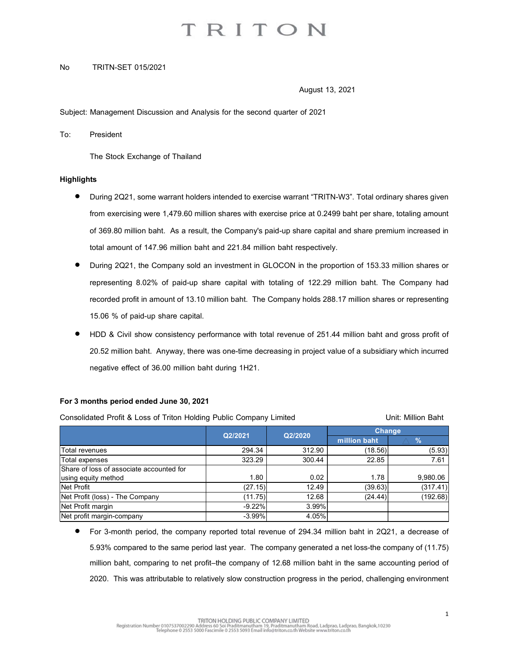# TRITON

### No TRITN-SET 015/2021

August 13, 2021

Subject: Management Discussion and Analysis for the second quarter of 2021

To: President

The Stock Exchange of Thailand

### **Highlights**

- During 2Q21, some warrant holders intended to exercise warrant "TRITN-W3". Total ordinary shares given from exercising were 1,479.60 million shares with exercise price at 0.2499 baht per share, totaling amount of 369.80 million baht. As a result, the Company's paid-up share capital and share premium increased in total amount of 147.96 million baht and 221.84 million baht respectively.
- During 2Q21, the Company sold an investment in GLOCON in the proportion of 153.33 million shares or representing 8.02% of paid-up share capital with totaling of 122.29 million baht. The Company had recorded profit in amount of 13.10 million baht. The Company holds 288.17 million shares or representing 15.06 % of paid-up share capital.
- HDD & Civil show consistency performance with total revenue of 251.44 million baht and gross profit of 20.52 million baht. Anyway, there was one-time decreasing in project value of a subsidiary which incurred negative effect of 36.00 million baht during 1H21.

## For 3 months period ended June 30, 2021

| of 369.80 million baht. As a result, the Company's paid-up share capital and share premium increased in                                                                                                                                                                                                                  |          |         |              |                    |
|--------------------------------------------------------------------------------------------------------------------------------------------------------------------------------------------------------------------------------------------------------------------------------------------------------------------------|----------|---------|--------------|--------------------|
| total amount of 147.96 million baht and 221.84 million baht respectively.                                                                                                                                                                                                                                                |          |         |              |                    |
| During 2Q21, the Company sold an investment in GLOCON in the proportion of 153.33 million shares or                                                                                                                                                                                                                      |          |         |              |                    |
| representing 8.02% of paid-up share capital with totaling of 122.29 million baht. The Company had                                                                                                                                                                                                                        |          |         |              |                    |
| recorded profit in amount of 13.10 million baht. The Company holds 288.17 million shares or representing                                                                                                                                                                                                                 |          |         |              |                    |
| 15.06 % of paid-up share capital.                                                                                                                                                                                                                                                                                        |          |         |              |                    |
| HDD & Civil show consistency performance with total revenue of 251.44 million baht and gross profit of                                                                                                                                                                                                                   |          |         |              |                    |
| 20.52 million baht. Anyway, there was one-time decreasing in project value of a subsidiary which incurred                                                                                                                                                                                                                |          |         |              |                    |
|                                                                                                                                                                                                                                                                                                                          |          |         |              |                    |
| negative effect of 36.00 million baht during 1H21.                                                                                                                                                                                                                                                                       |          |         |              |                    |
| Consolidated Profit & Loss of Triton Holding Public Company Limited                                                                                                                                                                                                                                                      |          |         |              | Unit: Million Baht |
|                                                                                                                                                                                                                                                                                                                          | Q2/2021  | Q2/2020 | Change       |                    |
|                                                                                                                                                                                                                                                                                                                          |          |         | million baht | $\%$               |
| Total revenues                                                                                                                                                                                                                                                                                                           | 294.34   | 312.90  | (18.56)      | (5.93)             |
| Total expenses                                                                                                                                                                                                                                                                                                           | 323.29   | 300.44  | 22.85        | 7.61               |
| Share of loss of associate accounted for<br>using equity method                                                                                                                                                                                                                                                          | 1.80     | 0.02    | 1.78         | 9,980.06           |
| Net Profit                                                                                                                                                                                                                                                                                                               | (27.15)  | 12.49   | (39.63)      | (317.41)           |
| Net Profit (loss) - The Company                                                                                                                                                                                                                                                                                          | (11.75)  | 12.68   | (24.44)      | (192.68)           |
| Net Profit margin                                                                                                                                                                                                                                                                                                        | $-9.22%$ | 3.99%   |              |                    |
| Net profit margin-company                                                                                                                                                                                                                                                                                                | $-3.99%$ | 4.05%   |              |                    |
| For 3-month period, the company reported total revenue of 294.34 million baht in 2Q21, a decrease of<br>5.93% compared to the same period last year. The company generated a net loss-the company of (11.75)<br>million baht, comparing to net profit-the company of 12.68 million baht in the same accounting period of |          |         |              |                    |
|                                                                                                                                                                                                                                                                                                                          |          |         |              |                    |

 For 3-month period, the company reported total revenue of 294.34 million baht in 2Q21, a decrease of 5.93% compared to the same period last year. The company generated a net loss-the company of (11.75) million baht, comparing to net profit–the company of 12.68 million baht in the same accounting period of 2020. This was attributable to relatively slow construction progress in the period, challenging environment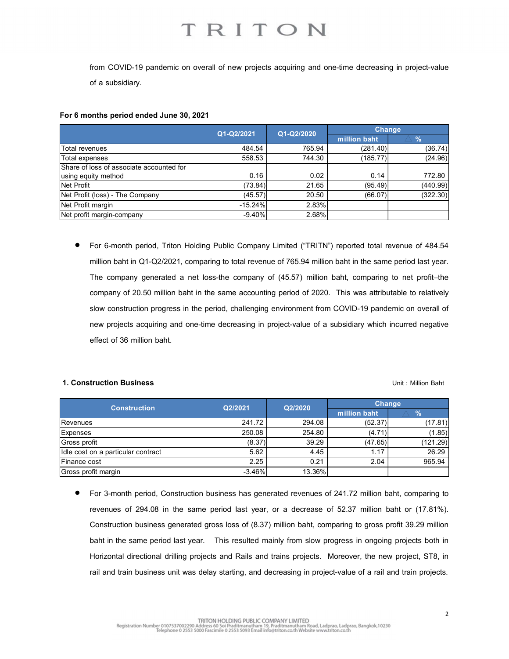### For 6 months period ended June 30, 2021

| TRITON<br>from COVID-19 pandemic on overall of new projects acquiring and one-time decreasing in project-value |
|----------------------------------------------------------------------------------------------------------------|
|                                                                                                                |
|                                                                                                                |
|                                                                                                                |
|                                                                                                                |
|                                                                                                                |
|                                                                                                                |
|                                                                                                                |
| of a subsidiary.                                                                                               |
|                                                                                                                |
|                                                                                                                |
|                                                                                                                |
| For 6 months period ended June 30, 2021                                                                        |
|                                                                                                                |
|                                                                                                                |
|                                                                                                                |
| <b>Total revenues</b>                                                                                          |
|                                                                                                                |
| Total expenses                                                                                                 |
| Share of loss of associate accounted for                                                                       |
| using equity method<br>Net Profit                                                                              |
|                                                                                                                |
| Net Profit (loss) - The Company<br>Net Profit margin                                                           |

 For 6-month period, Triton Holding Public Company Limited ("TRITN") reported total revenue of 484.54 million baht in Q1-Q2/2021, comparing to total revenue of 765.94 million baht in the same period last year. The company generated a net loss-the company of (45.57) million baht, comparing to net profit–the company of 20.50 million baht in the same accounting period of 2020. This was attributable to relatively slow construction progress in the period, challenging environment from COVID-19 pandemic on overall of new projects acquiring and one-time decreasing in project-value of a subsidiary which incurred negative effect of 36 million baht. reported total revenue of 484.54<br>
and in the same period last year.<br>
and in the same period last year.<br>
This was attributable to relatively<br>
COVID-19 pandemic on overall of<br>
bbsidiary which incurred negative<br>
Unit: Millio Revenues 241.72 294.08 (52.37) (1.85)<br>
Revenues 242.72 294.08 (52.47) (17.81) (17.81) (17.81) (17.81) (17.81) (17.81) (17.81) (17.81) (17.81) (17.81<br>
The company generated a net loss-the company of (45.57) million baht in Idle cost on a particular contract 5.62 4.45 1.17 26.29 Finance cost 2.25 0.21 2.04 965.94 Gross profit margin -3.46% 13.36% 1. The Company<br>
1.6.529% 2.83% (66.07) 2.05.<br>
1.company<br>
1.company<br>
1.company<br>
1.company<br>
1.company<br>
1.company<br>
1.company<br>
1.company<br>
1.company<br>
1.company<br>
1.company<br>
1.company<br>
1.company<br>
1.company<br>
1.company<br>
1.company<br>

### **1. Construction Business National State of Exception Construction Baht** Unit : Million Baht

| <b>Construction</b>                | Q2/2021   | Q2/2020 | <b>Change</b> |          |
|------------------------------------|-----------|---------|---------------|----------|
|                                    |           |         | million baht  | $\%$     |
| Revenues                           | 241.72    | 294.08  | (52.37)       | (17.81)  |
| <b>Expenses</b>                    | 250.08    | 254.80  | (4.71)        | (1.85)   |
| Gross profit                       | (8.37)    | 39.29   | (47.65)       | (121.29) |
| Idle cost on a particular contract | 5.62      | 4.45    | 1.17          | 26.29    |
| Finance cost                       | 2.25      | 0.21    | 2.04          | 965.94   |
| Gross profit margin                | $-3.46\%$ | 13.36%  |               |          |

 For 3-month period, Construction business has generated revenues of 241.72 million baht, comparing to revenues of 294.08 in the same period last year, or a decrease of 52.37 million baht or (17.81%). Construction business generated gross loss of (8.37) million baht, comparing to gross profit 39.29 million baht in the same period last year. This resulted mainly from slow progress in ongoing projects both in Horizontal directional drilling projects and Rails and trains projects. Moreover, the new project, ST8, in rail and train business unit was delay starting, and decreasing in project-value of a rail and train projects.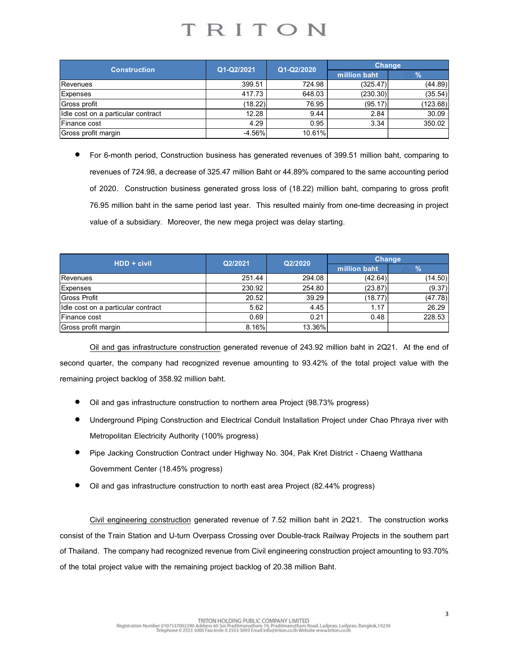|                                                                                                                                                                                                                                                                                                  | TRITON                                                                                                 |              |                        |                           |
|--------------------------------------------------------------------------------------------------------------------------------------------------------------------------------------------------------------------------------------------------------------------------------------------------|--------------------------------------------------------------------------------------------------------|--------------|------------------------|---------------------------|
|                                                                                                                                                                                                                                                                                                  |                                                                                                        |              |                        |                           |
|                                                                                                                                                                                                                                                                                                  |                                                                                                        |              |                        |                           |
|                                                                                                                                                                                                                                                                                                  |                                                                                                        |              |                        |                           |
| <b>Construction</b>                                                                                                                                                                                                                                                                              | Q1-Q2/2021                                                                                             | Q1-Q2/2020   | Change<br>million baht | $\%$                      |
| Revenues                                                                                                                                                                                                                                                                                         | 399.51                                                                                                 | 724.98       | (325.47)               | (44.89)                   |
| Expenses                                                                                                                                                                                                                                                                                         | 417.73                                                                                                 | 648.03       | (230.30)               | (35.54)                   |
| Gross profit                                                                                                                                                                                                                                                                                     | (18.22)                                                                                                | 76.95        | (95.17)                | (123.68)                  |
| Idle cost on a particular contract                                                                                                                                                                                                                                                               | 12.28                                                                                                  | 9.44         | 2.84                   | 30.09                     |
| Finance cost                                                                                                                                                                                                                                                                                     | 4.29                                                                                                   | 0.95         | 3.34                   | 350.02                    |
| Gross profit margin                                                                                                                                                                                                                                                                              | $-4.56%$                                                                                               | 10.61%       |                        |                           |
| For 6-month period, Construction business has generated revenues of 399.51 million baht, comparing to<br>$\bullet$                                                                                                                                                                               | revenues of 724.98, a decrease of 325.47 million Baht or 44.89% compared to the same accounting period |              |                        |                           |
| of 2020. Construction business generated gross loss of (18.22) million baht, comparing to gross profit<br>76.95 million baht in the same period last year. This resulted mainly from one-time decreasing in project<br>value of a subsidiary. Moreover, the new mega project was delay starting. |                                                                                                        |              |                        |                           |
|                                                                                                                                                                                                                                                                                                  |                                                                                                        |              | <b>Change</b>          |                           |
| HDD + civil                                                                                                                                                                                                                                                                                      | Q2/2021                                                                                                | Q2/2020      | million baht           | $\frac{9}{6}$<br>$\wedge$ |
| Revenues                                                                                                                                                                                                                                                                                         | 251.44                                                                                                 | 294.08       | (42.64)                | (14.50)                   |
| Expenses                                                                                                                                                                                                                                                                                         | 230.92                                                                                                 | 254.80       | (23.87)                | (9.37)                    |
| <b>Gross Profit</b>                                                                                                                                                                                                                                                                              | 20.52                                                                                                  | 39.29        | (18.77)                | (47.78)                   |
| Idle cost on a particular contract<br>Finance cost                                                                                                                                                                                                                                               | 5.62<br>0.69                                                                                           | 4.45<br>0.21 | 1.17<br>0.48           | 26.29<br>228.53           |

|                                                                                                                                                                                                                                                                                                  |            |            | <b>Change</b>                                                                                          |               |
|--------------------------------------------------------------------------------------------------------------------------------------------------------------------------------------------------------------------------------------------------------------------------------------------------|------------|------------|--------------------------------------------------------------------------------------------------------|---------------|
| <b>Construction</b>                                                                                                                                                                                                                                                                              | Q1-Q2/2021 | Q1-Q2/2020 | million baht                                                                                           | $\frac{9}{6}$ |
| Revenues                                                                                                                                                                                                                                                                                         | 399.51     | 724.98     | (325.47)                                                                                               | (44.89)       |
| Expenses                                                                                                                                                                                                                                                                                         | 417.73     | 648.03     | (230.30)                                                                                               | (35.54)       |
| Gross profit                                                                                                                                                                                                                                                                                     | (18.22)    | 76.95      | (95.17)                                                                                                | (123.68)      |
| Idle cost on a particular contract                                                                                                                                                                                                                                                               | 12.28      | 9.44       | 2.84                                                                                                   | 30.09         |
| Finance cost                                                                                                                                                                                                                                                                                     | 4.29       | 0.95       | 3.34                                                                                                   | 350.02        |
| Gross profit margin                                                                                                                                                                                                                                                                              | $-4.56%$   | 10.61%     |                                                                                                        |               |
|                                                                                                                                                                                                                                                                                                  |            |            | revenues of 724.98, a decrease of 325.47 million Baht or 44.89% compared to the same accounting period |               |
| of 2020. Construction business generated gross loss of (18.22) million baht, comparing to gross profit<br>76.95 million baht in the same period last year. This resulted mainly from one-time decreasing in project<br>value of a subsidiary. Moreover, the new mega project was delay starting. |            |            |                                                                                                        |               |
|                                                                                                                                                                                                                                                                                                  |            |            | <b>Change</b>                                                                                          |               |
| HDD + civil                                                                                                                                                                                                                                                                                      | Q2/2021    | Q2/2020    | million baht                                                                                           | $\frac{9}{6}$ |
| Revenues                                                                                                                                                                                                                                                                                         | 251.44     | 294.08     | (42.64)                                                                                                | (14.50)       |
| Expenses                                                                                                                                                                                                                                                                                         | 230.92     | 254.80     | (23.87)                                                                                                | (9.37)        |
| <b>Gross Profit</b>                                                                                                                                                                                                                                                                              | 20.52      | 39.29      | (18.77)                                                                                                | (47.78)       |
| Idle cost on a particular contract                                                                                                                                                                                                                                                               | 5.62       | 4.45       | 1.17                                                                                                   | 26.29         |
| Finance cost                                                                                                                                                                                                                                                                                     | 0.69       | 0.21       | 0.48                                                                                                   | 228.53        |

- Oil and gas infrastructure construction to northern area Project (98.73% progress)
- Underground Piping Construction and Electrical Conduit Installation Project under Chao Phraya river with Metropolitan Electricity Authority (100% progress)
- Pipe Jacking Construction Contract under Highway No. 304, Pak Kret District Chaeng Watthana Government Center (18.45% progress)
- Oil and gas infrastructure construction to north east area Project (82.44% progress)

Civil engineering construction generated revenue of 7.52 million baht in 2Q21. The construction works consist of the Train Station and U-turn Overpass Crossing over Double-track Railway Projects in the southern part of Thailand. The company had recognized revenue from Civil engineering construction project amounting to 93.70% of the total project value with the remaining project backlog of 20.38 million Baht.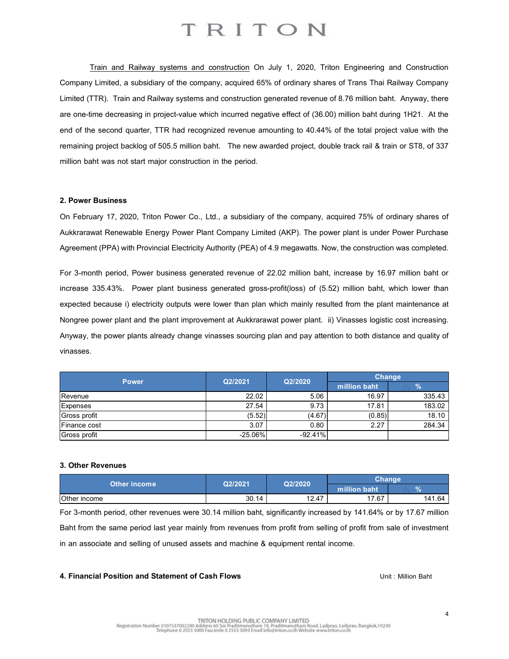## TRITON

Train and Railway systems and construction On July 1, 2020, Triton Engineering and Construction Company Limited, a subsidiary of the company, acquired 65% of ordinary shares of Trans Thai Railway Company Limited (TTR). Train and Railway systems and construction generated revenue of 8.76 million baht. Anyway, there are one-time decreasing in project-value which incurred negative effect of (36.00) million baht during 1H21. At the end of the second quarter, TTR had recognized revenue amounting to 40.44% of the total project value with the remaining project backlog of 505.5 million baht. The new awarded project, double track rail & train or ST8, of 337 million baht was not start major construction in the period.

### 2. Power Business

On February 17, 2020, Triton Power Co., Ltd., a subsidiary of the company, acquired 75% of ordinary shares of Aukkrarawat Renewable Energy Power Plant Company Limited (AKP). The power plant is under Power Purchase Agreement (PPA) with Provincial Electricity Authority (PEA) of 4.9 megawatts. Now, the construction was completed.

For 3-month period, Power business generated revenue of 22.02 million baht, increase by 16.97 million baht or increase 335.43%. Power plant business generated gross-profit(loss) of (5.52) million baht, which lower than expected because i) electricity outputs were lower than plan which mainly resulted from the plant maintenance at Nongree power plant and the plant improvement at Aukkrarawat power plant. ii) Vinasses logistic cost increasing. Anyway, the power plants already change vinasses sourcing plan and pay attention to both distance and quality of vinasses. quired 75% of ordinary shares of<br>
r plant is under Power Purchase<br>
the construction was completed.<br>
ncrease by 16.97 million baht or<br>
or million baht, which lower than<br>
d from the plant maintenance at<br>
vinasses logistic c **P. Devier Business**<br>
On February 17, 2020, Trition Power Co., Ltd., a subsidiary of the company, acquired 75% of ordinary shares of<br>
Aukkrarawat Renewable Energy Power Plant Company Limited (AKP). The power plant is under Chenter Business<br>
Chenter Theorem (PPA) with Provincial Electricity, authorities (AKP). The power plant is under Power Purchase<br>
Authorities Authority Power Plant Company Limited (AKP). The power plant is under Power Purch on February 17, 2020, The Comparison (C., Lu., a substanty of the comparison), adquired 75% of orthonous States of<br>Agreement (PPA) with Provincial Electricity Advitority (PEA) of 4.9 megawatts. Now, the construction was co Power Q2/2021 Q2/2020 Change orease by 16.97 million baht or<br>
) million baht, which lower than<br>
d from the plant maintenance at<br>
Vinasses logistic cost increasing.<br>
on to both distance and quality of<br>  $\begin{array}{r} \text{Change} \\ \text{million bath} \\ \hline 16.97 \\ 17.81 \\ \hline 10.85 \text$ For 3-month period, Power business generated revenue of 22.02 million baht, increase by 16.97 million baht or<br>
ncrease 335.43%. Power plant and the plant improvement at Aukkrarawit power plant. In Vimasses logitic cost in

| <b>Power</b> | Q2/2021   | Q2/2020   | <b>Change</b> |        |
|--------------|-----------|-----------|---------------|--------|
|              |           |           | million baht  | %      |
| Revenue      | 22.02     | 5.06      | 16.97         | 335.43 |
| Expenses     | 27.54     | 9.73      | 17.81         | 183.02 |
| Gross profit | (5.52)    | (4.67)    | (0.85)        | 18.10  |
| Finance cost | 3.07      | 0.80      | 2.27          | 284.34 |
| Gross profit | $-25.06%$ | $-92.41%$ |               |        |

### 3. Other Revenues

| Other income | Q2/2021 | Q2/2020 | Chanɑe       |               |  |
|--------------|---------|---------|--------------|---------------|--|
|              |         |         | million baht | $\Omega$<br>ω |  |
| Other income | 30.14   | 12.47   | 17.67        | 141.64        |  |

For 3-month period, other revenues were 30.14 million baht, significantly increased by 141.64% or by 17.67 million Baht from the same period last year mainly from revenues from profit from selling of profit from sale of investment in an associate and selling of unused assets and machine & equipment rental income.

### 4. Financial Position and Statement of Cash Flows Unit : Million Baht